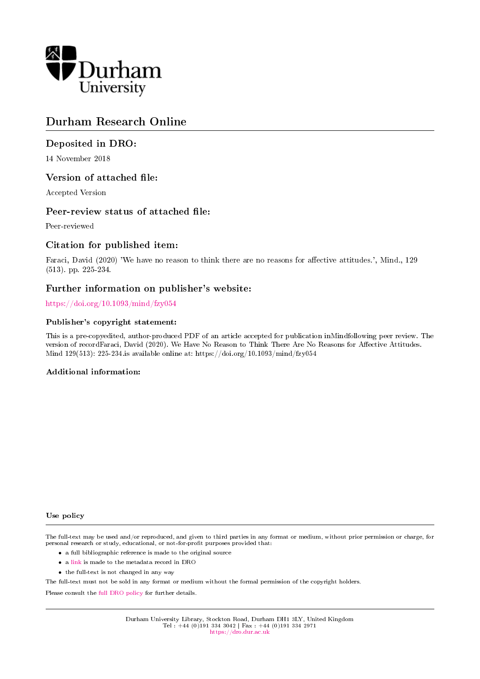

# Durham Research Online

## Deposited in DRO:

14 November 2018

### Version of attached file:

Accepted Version

### Peer-review status of attached file:

Peer-reviewed

# Citation for published item:

Faraci, David (2020) 'We have no reason to think there are no reasons for affective attitudes.', Mind., 129 (513). pp. 225-234.

# Further information on publisher's website:

<https://doi.org/10.1093/mind/fzy054>

### Publisher's copyright statement:

This is a pre-copyedited, author-produced PDF of an article accepted for publication inMindfollowing peer review. The version of recordFaraci, David (2020). We Have No Reason to Think There Are No Reasons for Affective Attitudes. Mind 129(513): 225-234.is available online at: https://doi.org/10.1093/mind/fzy054

#### Additional information:

#### Use policy

The full-text may be used and/or reproduced, and given to third parties in any format or medium, without prior permission or charge, for personal research or study, educational, or not-for-profit purposes provided that:

- a full bibliographic reference is made to the original source
- a [link](http://dro.dur.ac.uk/26789/) is made to the metadata record in DRO
- the full-text is not changed in any way

The full-text must not be sold in any format or medium without the formal permission of the copyright holders.

Please consult the [full DRO policy](https://dro.dur.ac.uk/policies/usepolicy.pdf) for further details.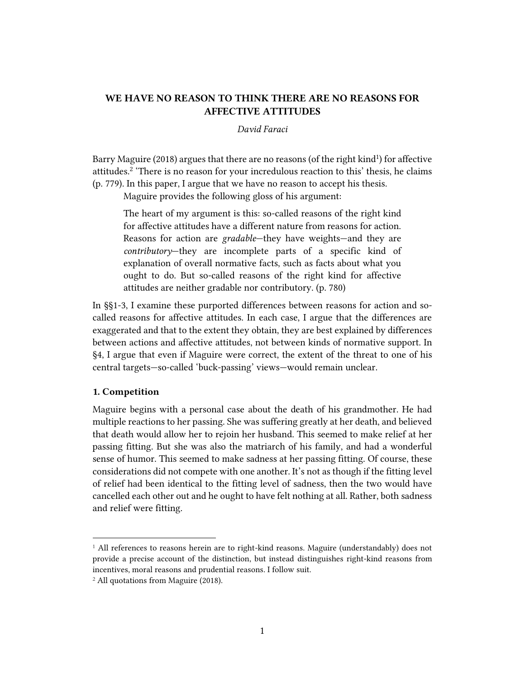# **WE HAVE NO REASON TO THINK THERE ARE NO REASONS FOR AFFECTIVE ATTITUDES**

### *David Faraci*

Barry Maguire (2018) argues that there are no reasons (of the right kind<sup>1</sup>) for affective attitudes.<sup>2</sup> 'There is no reason for your incredulous reaction to this' thesis, he claims (p. 779). In this paper, I argue that we have no reason to accept his thesis.

Maguire provides the following gloss of his argument:

The heart of my argument is this: so-called reasons of the right kind for affective attitudes have a different nature from reasons for action. Reasons for action are *gradable*—they have weights—and they are *contributory*—they are incomplete parts of a specific kind of explanation of overall normative facts, such as facts about what you ought to do. But so-called reasons of the right kind for affective attitudes are neither gradable nor contributory. (p. 780)

In §§1-3, I examine these purported differences between reasons for action and socalled reasons for affective attitudes. In each case, I argue that the differences are exaggerated and that to the extent they obtain, they are best explained by differences between actions and affective attitudes, not between kinds of normative support. In §4, I argue that even if Maguire were correct, the extent of the threat to one of his central targets—so-called 'buck-passing' views—would remain unclear.

### **1. Competition**

 $\overline{a}$ 

Maguire begins with a personal case about the death of his grandmother. He had multiple reactions to her passing. She was suffering greatly at her death, and believed that death would allow her to rejoin her husband. This seemed to make relief at her passing fitting. But she was also the matriarch of his family, and had a wonderful sense of humor. This seemed to make sadness at her passing fitting. Of course, these considerations did not compete with one another. It's not as though if the fitting level of relief had been identical to the fitting level of sadness, then the two would have cancelled each other out and he ought to have felt nothing at all. Rather, both sadness and relief were fitting.

<sup>&</sup>lt;sup>1</sup> All references to reasons herein are to right-kind reasons. Maguire (understandably) does not provide a precise account of the distinction, but instead distinguishes right-kind reasons from incentives, moral reasons and prudential reasons. I follow suit.

<sup>2</sup> All quotations from Maguire (2018).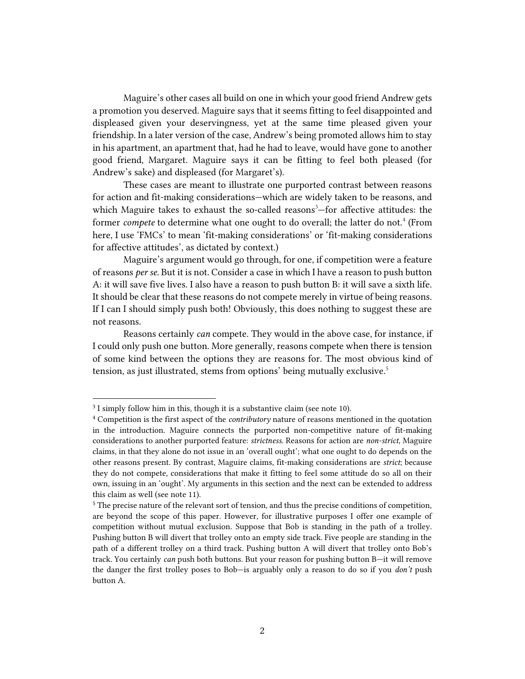Maguire's other cases all build on one in which your good friend Andrew gets a promotion you deserved. Maguire says that it seems fitting to feel disappointed and displeased given your deservingness, yet at the same time pleased given your friendship. In a later version of the case, Andrew's being promoted allows him to stay in his apartment, an apartment that, had he had to leave, would have gone to another good friend, Margaret. Maguire says it can be fitting to feel both pleased (for Andrew's sake) and displeased (for Margaret's).

These cases are meant to illustrate one purported contrast between reasons for action and fit-making considerations—which are widely taken to be reasons, and which Maguire takes to exhaust the so-called reasons $3-$  for affective attitudes: the former *compete* to determine what one ought to do overall; the latter do not.<sup>4</sup> (From here, I use 'FMCs' to mean 'fit-making considerations' or 'fit-making considerations for affective attitudes', as dictated by context.)

Maguire's argument would go through, for one, if competition were a feature of reasons *per se.* But it is not. Consider a case in which I have a reason to push button A: it will save five lives. I also have a reason to push button B: it will save a sixth life. It should be clear that these reasons do not compete merely in virtue of being reasons. If I can I should simply push both! Obviously, this does nothing to suggest these are not reasons.

Reasons certainly *can* compete. They would in the above case, for instance, if I could only push one button. More generally, reasons compete when there is tension of some kind between the options they are reasons for. The most obvious kind of tension, as just illustrated, stems from options' being mutually exclusive.<sup>5</sup>

 $\overline{a}$ 

<sup>&</sup>lt;sup>3</sup> I simply follow him in this, though it is a substantive claim (see note 10).

<sup>4</sup> Competition is the first aspect of the *contributory* nature of reasons mentioned in the quotation in the introduction. Maguire connects the purported non-competitive nature of fit-making considerations to another purported feature: *strictness.* Reasons for action are *non-strict,* Maguire claims, in that they alone do not issue in an 'overall ought'; what one ought to do depends on the other reasons present. By contrast, Maguire claims, fit-making considerations are *strict*; because they do not compete, considerations that make it fitting to feel some attitude do so all on their own, issuing in an 'ought'. My arguments in this section and the next can be extended to address this claim as well (see note 11).

<sup>&</sup>lt;sup>5</sup> The precise nature of the relevant sort of tension, and thus the precise conditions of competition, are beyond the scope of this paper. However, for illustrative purposes I offer one example of competition without mutual exclusion. Suppose that Bob is standing in the path of a trolley. Pushing button B will divert that trolley onto an empty side track. Five people are standing in the path of a different trolley on a third track. Pushing button A will divert that trolley onto Bob's track. You certainly *can* push both buttons. But your reason for pushing button B—it will remove the danger the first trolley poses to Bob—is arguably only a reason to do so if you *don't* push button A.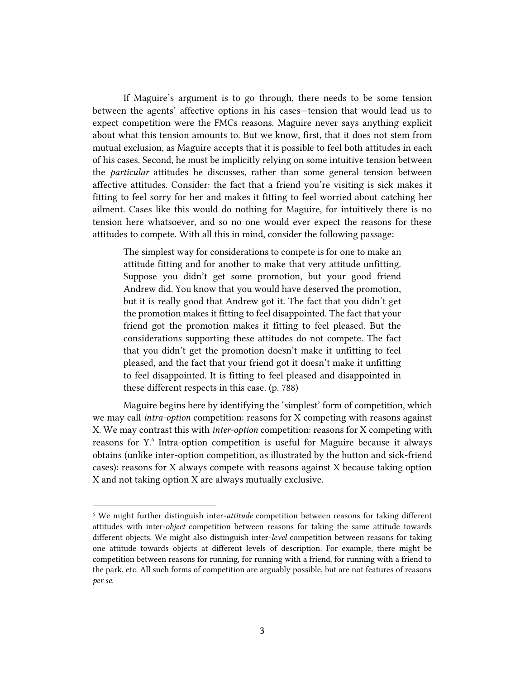If Maguire's argument is to go through, there needs to be some tension between the agents' affective options in his cases—tension that would lead us to expect competition were the FMCs reasons. Maguire never says anything explicit about what this tension amounts to. But we know, first, that it does not stem from mutual exclusion, as Maguire accepts that it is possible to feel both attitudes in each of his cases. Second, he must be implicitly relying on some intuitive tension between the *particular* attitudes he discusses, rather than some general tension between affective attitudes. Consider: the fact that a friend you're visiting is sick makes it fitting to feel sorry for her and makes it fitting to feel worried about catching her ailment. Cases like this would do nothing for Maguire, for intuitively there is no tension here whatsoever, and so no one would ever expect the reasons for these attitudes to compete. With all this in mind, consider the following passage:

The simplest way for considerations to compete is for one to make an attitude fitting and for another to make that very attitude unfitting. Suppose you didn't get some promotion, but your good friend Andrew did. You know that you would have deserved the promotion, but it is really good that Andrew got it. The fact that you didn't get the promotion makes it fitting to feel disappointed. The fact that your friend got the promotion makes it fitting to feel pleased. But the considerations supporting these attitudes do not compete. The fact that you didn't get the promotion doesn't make it unfitting to feel pleased, and the fact that your friend got it doesn't make it unfitting to feel disappointed. It is fitting to feel pleased and disappointed in these different respects in this case. (p. 788)

Maguire begins here by identifying the 'simplest' form of competition, which we may call *intra-option* competition: reasons for X competing with reasons against X. We may contrast this with *inter-option* competition: reasons for X competing with reasons for Y.<sup>6</sup> Intra-option competition is useful for Maguire because it always obtains (unlike inter-option competition, as illustrated by the button and sick-friend cases): reasons for X always compete with reasons against X because taking option X and not taking option X are always mutually exclusive.

 $\overline{a}$ 

<sup>6</sup> We might further distinguish inter-*attitude* competition between reasons for taking different attitudes with inter-*object* competition between reasons for taking the same attitude towards different objects. We might also distinguish inter-*level* competition between reasons for taking one attitude towards objects at different levels of description. For example, there might be competition between reasons for running, for running with a friend, for running with a friend to the park, etc. All such forms of competition are arguably possible, but are not features of reasons *per se.*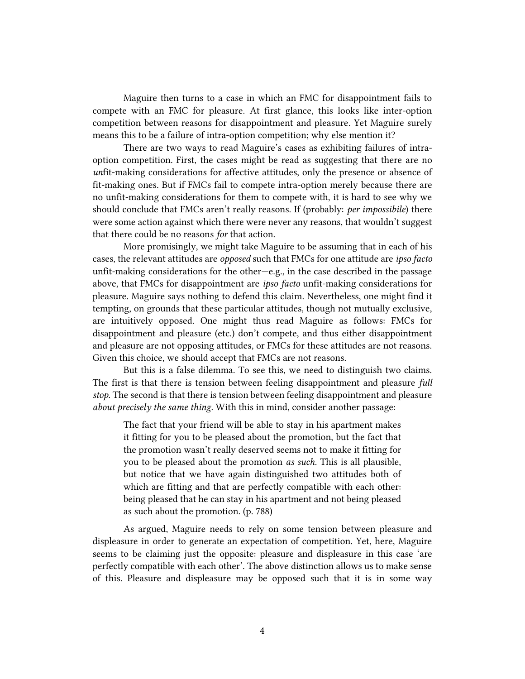Maguire then turns to a case in which an FMC for disappointment fails to compete with an FMC for pleasure. At first glance, this looks like inter-option competition between reasons for disappointment and pleasure. Yet Maguire surely means this to be a failure of intra-option competition; why else mention it?

There are two ways to read Maguire's cases as exhibiting failures of intraoption competition. First, the cases might be read as suggesting that there are no *un*fit-making considerations for affective attitudes, only the presence or absence of fit-making ones. But if FMCs fail to compete intra-option merely because there are no unfit-making considerations for them to compete with, it is hard to see why we should conclude that FMCs aren't really reasons. If (probably: *per impossibile*) there were some action against which there were never any reasons, that wouldn't suggest that there could be no reasons *for* that action.

More promisingly, we might take Maguire to be assuming that in each of his cases, the relevant attitudes are *opposed* such that FMCs for one attitude are *ipso facto*  unfit-making considerations for the other—e.g., in the case described in the passage above, that FMCs for disappointment are *ipso facto* unfit-making considerations for pleasure. Maguire says nothing to defend this claim. Nevertheless, one might find it tempting, on grounds that these particular attitudes, though not mutually exclusive, are intuitively opposed. One might thus read Maguire as follows: FMCs for disappointment and pleasure (etc.) don't compete, and thus either disappointment and pleasure are not opposing attitudes, or FMCs for these attitudes are not reasons. Given this choice, we should accept that FMCs are not reasons.

But this is a false dilemma. To see this, we need to distinguish two claims. The first is that there is tension between feeling disappointment and pleasure *full stop.* The second is that there is tension between feeling disappointment and pleasure *about precisely the same thing.* With this in mind, consider another passage:

The fact that your friend will be able to stay in his apartment makes it fitting for you to be pleased about the promotion, but the fact that the promotion wasn't really deserved seems not to make it fitting for you to be pleased about the promotion *as such.* This is all plausible, but notice that we have again distinguished two attitudes both of which are fitting and that are perfectly compatible with each other: being pleased that he can stay in his apartment and not being pleased as such about the promotion. (p. 788)

As argued, Maguire needs to rely on some tension between pleasure and displeasure in order to generate an expectation of competition. Yet, here, Maguire seems to be claiming just the opposite: pleasure and displeasure in this case 'are perfectly compatible with each other'. The above distinction allows us to make sense of this. Pleasure and displeasure may be opposed such that it is in some way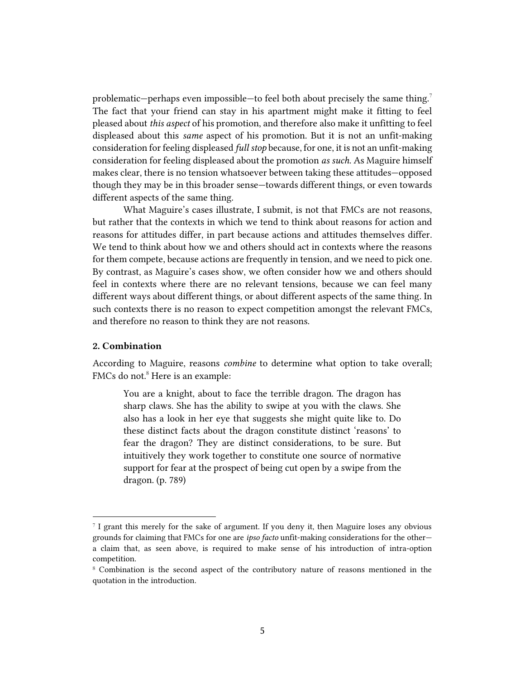problematic—perhaps even impossible—to feel both about precisely the same thing.<sup>7</sup> The fact that your friend can stay in his apartment might make it fitting to feel pleased about *this aspect* of his promotion, and therefore also make it unfitting to feel displeased about this *same* aspect of his promotion. But it is not an unfit-making consideration for feeling displeased *full stop* because, for one, it is not an unfit-making consideration for feeling displeased about the promotion *as such.* As Maguire himself makes clear, there is no tension whatsoever between taking these attitudes—opposed though they may be in this broader sense—towards different things, or even towards different aspects of the same thing.

What Maguire's cases illustrate, I submit, is not that FMCs are not reasons, but rather that the contexts in which we tend to think about reasons for action and reasons for attitudes differ, in part because actions and attitudes themselves differ. We tend to think about how we and others should act in contexts where the reasons for them compete, because actions are frequently in tension, and we need to pick one. By contrast, as Maguire's cases show, we often consider how we and others should feel in contexts where there are no relevant tensions, because we can feel many different ways about different things, or about different aspects of the same thing. In such contexts there is no reason to expect competition amongst the relevant FMCs, and therefore no reason to think they are not reasons.

### **2. Combination**

 $\overline{a}$ 

According to Maguire, reasons *combine* to determine what option to take overall; FMCs do not. <sup>8</sup> Here is an example:

You are a knight, about to face the terrible dragon. The dragon has sharp claws. She has the ability to swipe at you with the claws. She also has a look in her eye that suggests she might quite like to. Do these distinct facts about the dragon constitute distinct 'reasons' to fear the dragon? They are distinct considerations, to be sure. But intuitively they work together to constitute one source of normative support for fear at the prospect of being cut open by a swipe from the dragon. (p. 789)

<sup>7</sup> I grant this merely for the sake of argument. If you deny it, then Maguire loses any obvious grounds for claiming that FMCs for one are *ipso facto* unfit-making considerations for the other a claim that, as seen above, is required to make sense of his introduction of intra-option competition.

<sup>8</sup> Combination is the second aspect of the contributory nature of reasons mentioned in the quotation in the introduction.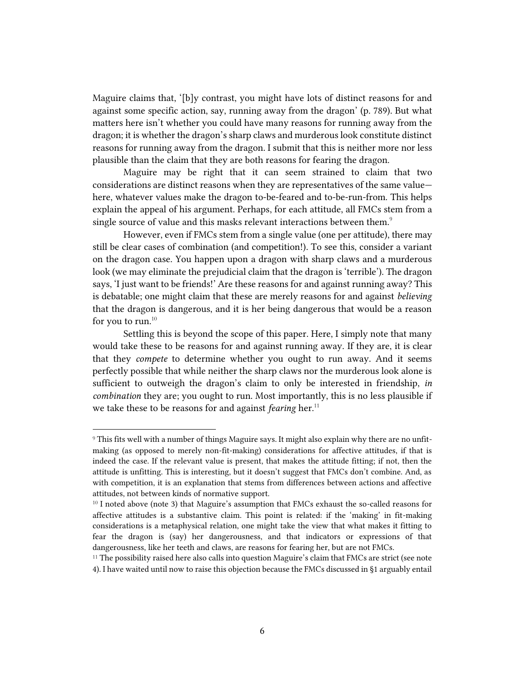Maguire claims that, '[b]y contrast, you might have lots of distinct reasons for and against some specific action, say, running away from the dragon' (p. 789). But what matters here isn't whether you could have many reasons for running away from the dragon; it is whether the dragon's sharp claws and murderous look constitute distinct reasons for running away from the dragon. I submit that this is neither more nor less plausible than the claim that they are both reasons for fearing the dragon.

Maguire may be right that it can seem strained to claim that two considerations are distinct reasons when they are representatives of the same value here, whatever values make the dragon to-be-feared and to-be-run-from. This helps explain the appeal of his argument. Perhaps, for each attitude, all FMCs stem from a single source of value and this masks relevant interactions between them.<sup>9</sup>

However, even if FMCs stem from a single value (one per attitude), there may still be clear cases of combination (and competition!). To see this, consider a variant on the dragon case. You happen upon a dragon with sharp claws and a murderous look (we may eliminate the prejudicial claim that the dragon is 'terrible'). The dragon says, 'I just want to be friends!' Are these reasons for and against running away? This is debatable; one might claim that these are merely reasons for and against *believing* that the dragon is dangerous, and it is her being dangerous that would be a reason for you to run. $^\mathrm{10}$ 

Settling this is beyond the scope of this paper. Here, I simply note that many would take these to be reasons for and against running away. If they are, it is clear that they *compete* to determine whether you ought to run away. And it seems perfectly possible that while neither the sharp claws nor the murderous look alone is sufficient to outweigh the dragon's claim to only be interested in friendship, *in combination* they are; you ought to run. Most importantly, this is no less plausible if we take these to be reasons for and against *fearing* her.<sup>11</sup>

 $\overline{a}$ 

<sup>9</sup> This fits well with a number of things Maguire says. It might also explain why there are no unfitmaking (as opposed to merely non-fit-making) considerations for affective attitudes, if that is indeed the case. If the relevant value is present, that makes the attitude fitting; if not, then the attitude is unfitting. This is interesting, but it doesn't suggest that FMCs don't combine. And, as with competition, it is an explanation that stems from differences between actions and affective attitudes, not between kinds of normative support.

<sup>&</sup>lt;sup>10</sup> I noted above (note 3) that Maguire's assumption that FMCs exhaust the so-called reasons for affective attitudes is a substantive claim. This point is related: if the 'making' in fit-making considerations is a metaphysical relation, one might take the view that what makes it fitting to fear the dragon is (say) her dangerousness, and that indicators or expressions of that dangerousness, like her teeth and claws, are reasons for fearing her, but are not FMCs.

<sup>11</sup> The possibility raised here also calls into question Maguire's claim that FMCs are strict (see note 4). I have waited until now to raise this objection because the FMCs discussed in §1 arguably entail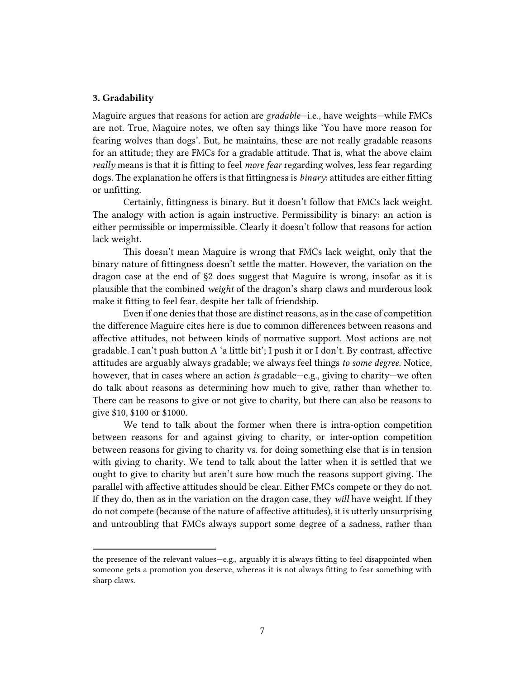#### **3. Gradability**

 $\overline{a}$ 

Maguire argues that reasons for action are *gradable*—i.e., have weights—while FMCs are not. True, Maguire notes, we often say things like 'You have more reason for fearing wolves than dogs'. But, he maintains, these are not really gradable reasons for an attitude; they are FMCs for a gradable attitude. That is, what the above claim *really* means is that it is fitting to feel *more fear* regarding wolves, less fear regarding dogs. The explanation he offers is that fittingness is *binary*: attitudes are either fitting or unfitting.

Certainly, fittingness is binary. But it doesn't follow that FMCs lack weight. The analogy with action is again instructive. Permissibility is binary: an action is either permissible or impermissible. Clearly it doesn't follow that reasons for action lack weight.

This doesn't mean Maguire is wrong that FMCs lack weight, only that the binary nature of fittingness doesn't settle the matter. However, the variation on the dragon case at the end of §2 does suggest that Maguire is wrong, insofar as it is plausible that the combined *weight* of the dragon's sharp claws and murderous look make it fitting to feel fear, despite her talk of friendship.

Even if one denies that those are distinct reasons, as in the case of competition the difference Maguire cites here is due to common differences between reasons and affective attitudes, not between kinds of normative support. Most actions are not gradable. I can't push button A 'a little bit'; I push it or I don't. By contrast, affective attitudes are arguably always gradable; we always feel things *to some degree.* Notice, however, that in cases where an action *is* gradable—e.g., giving to charity—we often do talk about reasons as determining how much to give, rather than whether to. There can be reasons to give or not give to charity, but there can also be reasons to give \$10, \$100 or \$1000.

We tend to talk about the former when there is intra-option competition between reasons for and against giving to charity, or inter-option competition between reasons for giving to charity vs. for doing something else that is in tension with giving to charity. We tend to talk about the latter when it is settled that we ought to give to charity but aren't sure how much the reasons support giving. The parallel with affective attitudes should be clear. Either FMCs compete or they do not. If they do, then as in the variation on the dragon case, they *will* have weight. If they do not compete (because of the nature of affective attitudes), it is utterly unsurprising and untroubling that FMCs always support some degree of a sadness, rather than

the presence of the relevant values—e.g., arguably it is always fitting to feel disappointed when someone gets a promotion you deserve, whereas it is not always fitting to fear something with sharp claws.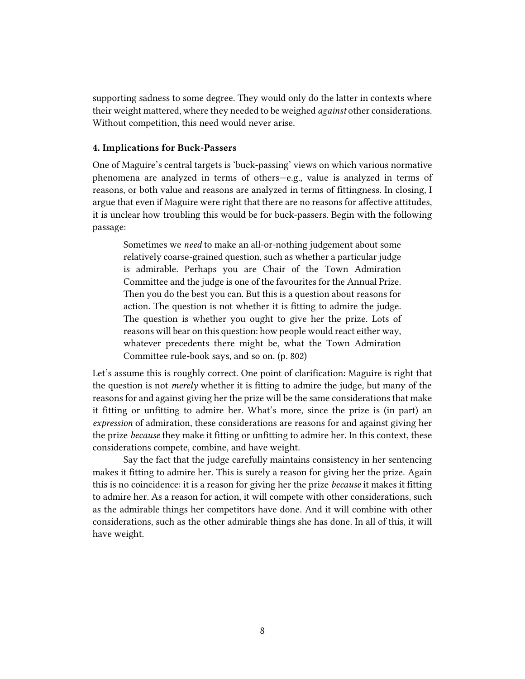supporting sadness to some degree. They would only do the latter in contexts where their weight mattered, where they needed to be weighed *against* other considerations. Without competition, this need would never arise.

#### **4. Implications for Buck-Passers**

One of Maguire's central targets is 'buck-passing' views on which various normative phenomena are analyzed in terms of others—e.g., value is analyzed in terms of reasons, or both value and reasons are analyzed in terms of fittingness. In closing, I argue that even if Maguire were right that there are no reasons for affective attitudes, it is unclear how troubling this would be for buck-passers. Begin with the following passage:

Sometimes we *need* to make an all-or-nothing judgement about some relatively coarse-grained question, such as whether a particular judge is admirable. Perhaps you are Chair of the Town Admiration Committee and the judge is one of the favourites for the Annual Prize. Then you do the best you can. But this is a question about reasons for action. The question is not whether it is fitting to admire the judge. The question is whether you ought to give her the prize. Lots of reasons will bear on this question: how people would react either way, whatever precedents there might be, what the Town Admiration Committee rule-book says, and so on. (p. 802)

Let's assume this is roughly correct. One point of clarification: Maguire is right that the question is not *merely* whether it is fitting to admire the judge, but many of the reasons for and against giving her the prize will be the same considerations that make it fitting or unfitting to admire her. What's more, since the prize is (in part) an *expression* of admiration, these considerations are reasons for and against giving her the prize *because* they make it fitting or unfitting to admire her. In this context, these considerations compete, combine, and have weight.

Say the fact that the judge carefully maintains consistency in her sentencing makes it fitting to admire her. This is surely a reason for giving her the prize. Again this is no coincidence: it is a reason for giving her the prize *because* it makes it fitting to admire her. As a reason for action, it will compete with other considerations, such as the admirable things her competitors have done. And it will combine with other considerations, such as the other admirable things she has done. In all of this, it will have weight.